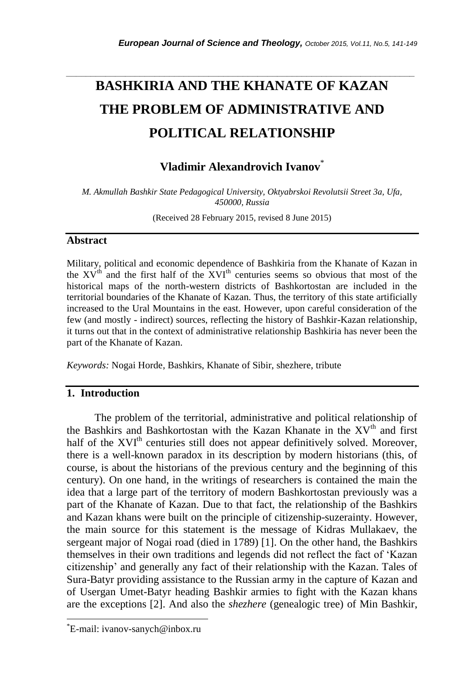# **BASHKIRIA AND THE KHANATE OF KAZAN THE PROBLEM OF ADMINISTRATIVE AND POLITICAL RELATIONSHIP**

*\_\_\_\_\_\_\_\_\_\_\_\_\_\_\_\_\_\_\_\_\_\_\_\_\_\_\_\_\_\_\_\_\_\_\_\_\_\_\_\_\_\_\_\_\_\_\_\_\_\_\_\_\_\_\_\_\_\_\_\_\_\_\_\_\_\_\_\_\_\_\_*

## **Vladimir Alexandrovich Ivanov**\*

*M. Akmullah Bashkir State Pedagogical University, Oktyabrskoi Revolutsii Street 3a, Ufa, 450000, Russia*

(Received 28 February 2015, revised 8 June 2015)

## **Abstract**

Military, political and economic dependence of Bashkiria from the Khanate of Kazan in the  $XV<sup>th</sup>$  and the first half of the  $XVI<sup>th</sup>$  centuries seems so obvious that most of the historical maps of the north-western districts of Bashkortostan are included in the territorial boundaries of the Khanate of Kazan. Thus, the territory of this state artificially increased to the Ural Mountains in the east. However, upon careful consideration of the few (and mostly - indirect) sources, reflecting the history of Bashkir-Kazan relationship, it turns out that in the context of administrative relationship Bashkiria has never been the part of the Khanate of Kazan.

*Keywords:* Nogai Horde, Bashkirs, Khanate of Sibir, shezhere, tribute

## **1. Introduction**

The problem of the territorial, administrative and political relationship of the Bashkirs and Bashkortostan with the Kazan Khanate in the  $XV<sup>th</sup>$  and first half of the XVI<sup>th</sup> centuries still does not appear definitively solved. Moreover, there is a well-known paradox in its description by modern historians (this, of course, is about the historians of the previous century and the beginning of this century). On one hand, in the writings of researchers is contained the main the idea that a large part of the territory of modern Bashkortostan previously was a part of the Khanate of Kazan. Due to that fact, the relationship of the Bashkirs and Kazan khans were built on the principle of citizenship-suzerainty. However, the main source for this statement is the message of Kidras Mullakaev, the sergeant major of Nogai road (died in 1789) [1]. On the other hand, the Bashkirs themselves in their own traditions and legends did not reflect the fact of "Kazan citizenship" and generally any fact of their relationship with the Kazan. Tales of Sura-Batyr providing assistance to the Russian army in the capture of Kazan and of Usergan Umet-Batyr heading Bashkir armies to fight with the Kazan khans are the exceptions [2]. And also the *shezhere* (genealogic tree) of Min Bashkir,

l

<sup>\*</sup>E-mail: ivanov-sanych@inbox.ru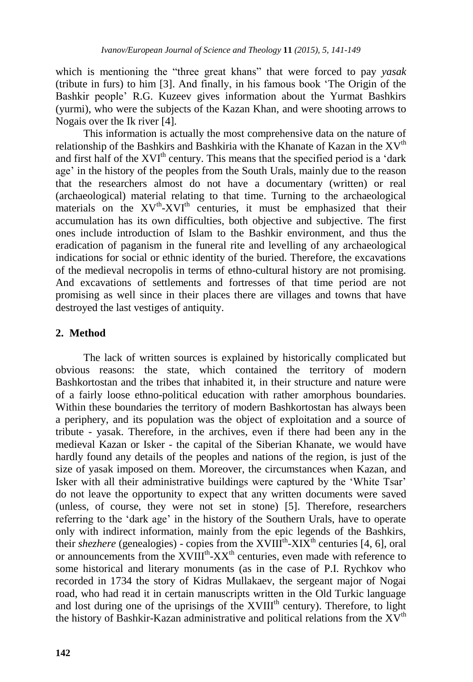which is mentioning the "three great khans" that were forced to pay *yasak* (tribute in furs) to him [3]. And finally, in his famous book "The Origin of the Bashkir people" R.G. Kuzeev gives information about the Yurmat Bashkirs (yurmi), who were the subjects of the Kazan Khan, and were shooting arrows to Nogais over the Ik river [4].

This information is actually the most comprehensive data on the nature of relationship of the Bashkirs and Bashkiria with the Khanate of Kazan in the  $XV<sup>th</sup>$ and first half of the  $XVI<sup>th</sup>$  century. This means that the specified period is a 'dark age' in the history of the peoples from the South Urals, mainly due to the reason that the researchers almost do not have a documentary (written) or real (archaeological) material relating to that time. Turning to the archaeological materials on the XV<sup>th</sup>-XVI<sup>th</sup> centuries, it must be emphasized that their accumulation has its own difficulties, both objective and subjective. The first ones include introduction of Islam to the Bashkir environment, and thus the eradication of paganism in the funeral rite and levelling of any archaeological indications for social or ethnic identity of the buried. Therefore, the excavations of the medieval necropolis in terms of ethno-cultural history are not promising. And excavations of settlements and fortresses of that time period are not promising as well since in their places there are villages and towns that have destroyed the last vestiges of antiquity.

## **2. Method**

The lack of written sources is explained by historically complicated but obvious reasons: the state, which contained the territory of modern Bashkortostan and the tribes that inhabited it, in their structure and nature were of a fairly loose ethno-political education with rather amorphous boundaries. Within these boundaries the territory of modern Bashkortostan has always been a periphery, and its population was the object of exploitation and a source of tribute - yasak. Therefore, in the archives, even if there had been any in the medieval Kazan or Isker - the capital of the Siberian Khanate, we would have hardly found any details of the peoples and nations of the region, is just of the size of yasak imposed on them. Moreover, the circumstances when Kazan, and Isker with all their administrative buildings were captured by the "White Tsar" do not leave the opportunity to expect that any written documents were saved (unless, of course, they were not set in stone) [5]. Therefore, researchers referring to the "dark age" in the history of the Southern Urals, have to operate only with indirect information, mainly from the epic legends of the Bashkirs, their *shezhere* (genealogies) - copies from the XVIII<sup>th</sup>-XIX<sup>th</sup> centuries [4, 6], oral or announcements from the  $XVIII^{th}$ - $XX^{th}$  centuries, even made with reference to some historical and literary monuments (as in the case of P.I. Rychkov who recorded in 1734 the story of Kidras Mullakaev, the sergeant major of Nogai road, who had read it in certain manuscripts written in the Old Turkic language and lost during one of the uprisings of the  $XVIII<sup>th</sup>$  century). Therefore, to light the history of Bashkir-Kazan administrative and political relations from the  $XV<sup>th</sup>$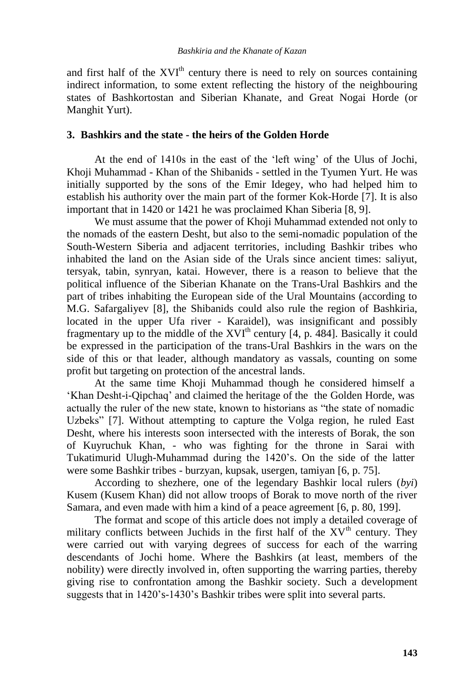and first half of the  $XVI<sup>th</sup>$  century there is need to rely on sources containing indirect information, to some extent reflecting the history of the neighbouring states of Bashkortostan and Siberian Khanate, and Great Nogai Horde (or Manghit Yurt).

## **3. Bashkirs and the state - the heirs of the Golden Horde**

At the end of 1410s in the east of the "left wing" of the Ulus of Jochi, Khoji Muhammad - Khan of the Shibanids - settled in the Tyumen Yurt. He was initially supported by the sons of the Emir Idegey, who had helped him to establish his authority over the main part of the former Kok-Horde [7]. It is also important that in 1420 or 1421 he was proclaimed Khan Siberia [8, 9].

We must assume that the power of Khoji Muhammad extended not only to the nomads of the eastern Desht, but also to the semi-nomadic population of the South-Western Siberia and adjacent territories, including Bashkir tribes who inhabited the land on the Asian side of the Urals since ancient times: saliyut, tersyak, tabin, synryan, katai. However, there is a reason to believe that the political influence of the Siberian Khanate on the Trans-Ural Bashkirs and the part of tribes inhabiting the European side of the Ural Mountains (according to M.G. Safargaliyev [8], the Shibanids could also rule the region of Bashkiria, located in the upper Ufa river - Karaidel), was insignificant and possibly fragmentary up to the middle of the  $XVI<sup>th</sup>$  century [4, p. 484]. Basically it could be expressed in the participation of the trans-Ural Bashkirs in the wars on the side of this or that leader, although mandatory as vassals, counting on some profit but targeting on protection of the ancestral lands.

At the same time Khoji Muhammad though he considered himself a "Khan Desht-i-Qipchaq" and claimed the heritage of the the Golden Horde, was actually the ruler of the new state, known to historians as "the state of nomadic Uzbeks" [7]. Without attempting to capture the Volga region, he ruled East Desht, where his interests soon intersected with the interests of Borak, the son of Kuyruchuk Khan, - who was fighting for the throne in Sarai with Tukatimurid Ulugh-Muhammad during the 1420"s. On the side of the latter were some Bashkir tribes - burzyan, kupsak, usergen, tamiyan [6, p. 75].

According to shezhere, one of the legendary Bashkir local rulers (*byi*) Kusem (Kusem Khan) did not allow troops of Borak to move north of the river Samara, and even made with him a kind of a peace agreement [6, p. 80, 199].

The format and scope of this article does not imply a detailed coverage of military conflicts between Juchids in the first half of the  $XV<sup>th</sup>$  century. They were carried out with varying degrees of success for each of the warring descendants of Jochi home. Where the Bashkirs (at least, members of the nobility) were directly involved in, often supporting the warring parties, thereby giving rise to confrontation among the Bashkir society. Such a development suggests that in 1420's-1430's Bashkir tribes were split into several parts.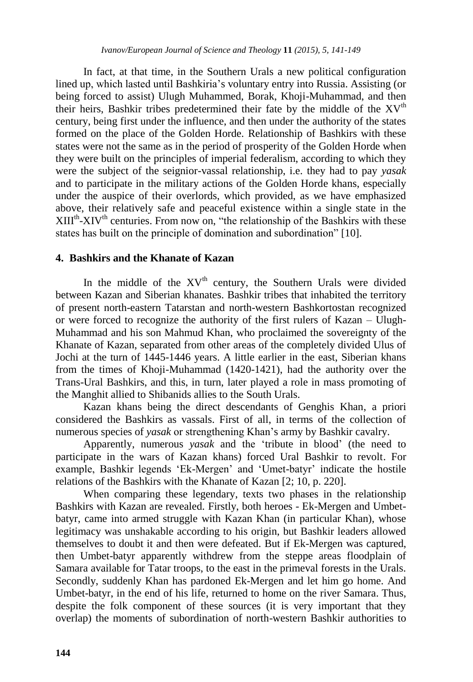In fact, at that time, in the Southern Urals a new political configuration lined up, which lasted until Bashkiria"s voluntary entry into Russia. Assisting (or being forced to assist) Ulugh Muhammed, Borak, Khoji-Muhammad, and then their heirs. Bashkir tribes predetermined their fate by the middle of the  $XV<sup>th</sup>$ century, being first under the influence, and then under the authority of the states formed on the place of the Golden Horde. Relationship of Bashkirs with these states were not the same as in the period of prosperity of the Golden Horde when they were built on the principles of imperial federalism, according to which they were the subject of the seignior-vassal relationship, i.e. they had to pay *yasak* and to participate in the military actions of the Golden Horde khans, especially under the auspice of their overlords, which provided, as we have emphasized above, their relatively safe and peaceful existence within a single state in the  $XIII<sup>th</sup>-XIV<sup>th</sup>$  centuries. From now on, "the relationship of the Bashkirs with these states has built on the principle of domination and subordination" [10].

#### **4. Bashkirs and the Khanate of Kazan**

In the middle of the  $XY<sup>th</sup>$  century, the Southern Urals were divided between Kazan and Siberian khanates. Bashkir tribes that inhabited the territory of present north-eastern Tatarstan and north-western Bashkortostan recognized or were forced to recognize the authority of the first rulers of Kazan – Ulugh-Muhammad and his son Mahmud Khan, who proclaimed the sovereignty of the Khanate of Kazan, separated from other areas of the completely divided Ulus of Jochi at the turn of 1445-1446 years. A little earlier in the east, Siberian khans from the times of Khoji-Muhammad (1420-1421), had the authority over the Trans-Ural Bashkirs, and this, in turn, later played a role in mass promoting of the Manghit allied to Shibanids allies to the South Urals.

Kazan khans being the direct descendants of Genghis Khan, a priori considered the Bashkirs as vassals. First of all, in terms of the collection of numerous species of *yasak* or strengthening Khan"s army by Bashkir cavalry.

Apparently, numerous *yasak* and the "tribute in blood" (the need to participate in the wars of Kazan khans) forced Ural Bashkir to revolt. For example, Bashkir legends "Ek-Mergen" and "Umet-batyr" indicate the hostile relations of the Bashkirs with the Khanate of Kazan [2; 10, p. 220].

When comparing these legendary, texts two phases in the relationship Bashkirs with Kazan are revealed. Firstly, both heroes - Ek-Mergen and Umbetbatyr, came into armed struggle with Kazan Khan (in particular Khan), whose legitimacy was unshakable according to his origin, but Bashkir leaders allowed themselves to doubt it and then were defeated. But if Ek-Mergen was captured, then Umbet-batyr apparently withdrew from the steppe areas floodplain of Samara available for Tatar troops, to the east in the primeval forests in the Urals. Secondly, suddenly Khan has pardoned Ek-Mergen and let him go home. And Umbet-batyr, in the end of his life, returned to home on the river Samara. Thus, despite the folk component of these sources (it is very important that they overlap) the moments of subordination of north-western Bashkir authorities to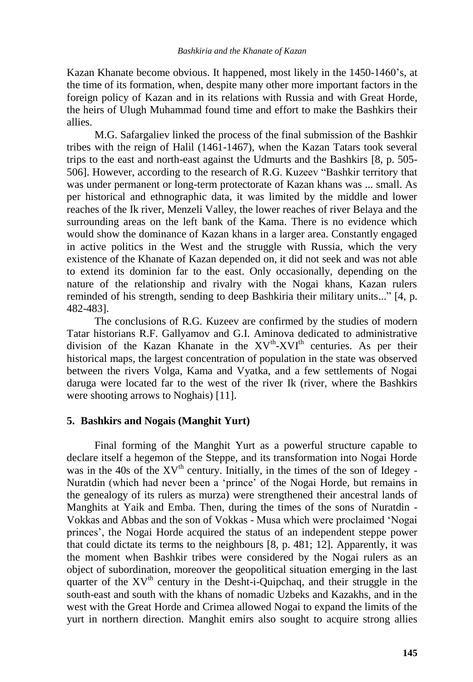Kazan Khanate become obvious. It happened, most likely in the 1450-1460"s, at the time of its formation, when, despite many other more important factors in the foreign policy of Kazan and in its relations with Russia and with Great Horde, the heirs of Ulugh Muhammad found time and effort to make the Bashkirs their allies.

M.G. Safargaliev linked the process of the final submission of the Bashkir tribes with the reign of Halil (1461-1467), when the Kazan Tatars took several trips to the east and north-east against the Udmurts and the Bashkirs [8, p. 505- 506]. However, according to the research of R.G. Kuzeev "Bashkir territory that was under permanent or long-term protectorate of Kazan khans was ... small. As per historical and ethnographic data, it was limited by the middle and lower reaches of the Ik river, Menzeli Valley, the lower reaches of river Belaya and the surrounding areas on the left bank of the Kama. There is no evidence which would show the dominance of Kazan khans in a larger area. Constantly engaged in active politics in the West and the struggle with Russia, which the very existence of the Khanate of Kazan depended on, it did not seek and was not able to extend its dominion far to the east. Only occasionally, depending on the nature of the relationship and rivalry with the Nogai khans, Kazan rulers reminded of his strength, sending to deep Bashkiria their military units..." [4, p. 482-483].

The conclusions of R.G. Kuzeev are confirmed by the studies of modern Tatar historians R.F. Gallyamov and G.I. Aminova dedicated to administrative division of the Kazan Khanate in the  $XV^{th}$ - $XVI^{th}$  centuries. As per their historical maps, the largest concentration of population in the state was observed between the rivers Volga, Kama and Vyatka, and a few settlements of Nogai daruga were located far to the west of the river Ik (river, where the Bashkirs were shooting arrows to Noghais) [11].

## **5. Bashkirs and Nogais (Manghit Yurt)**

Final forming of the Manghit Yurt as a powerful structure capable to declare itself a hegemon of the Steppe, and its transformation into Nogai Horde was in the 40s of the  $XV^{th}$  century. Initially, in the times of the son of Idegey -Nuratdin (which had never been a "prince" of the Nogai Horde, but remains in the genealogy of its rulers as murza) were strengthened their ancestral lands of Manghits at Yaik and Emba. Then, during the times of the sons of Nuratdin - Vokkas and Abbas and the son of Vokkas - Musa which were proclaimed "Nogai princes", the Nogai Horde acquired the status of an independent steppe power that could dictate its terms to the neighbours [8, p. 481; 12]. Apparently, it was the moment when Bashkir tribes were considered by the Nogai rulers as an object of subordination, moreover the geopolitical situation emerging in the last quarter of the XV<sup>th</sup> century in the Desht-i-Quipchaq, and their struggle in the south-east and south with the khans of nomadic Uzbeks and Kazakhs, and in the west with the Great Horde and Crimea allowed Nogai to expand the limits of the yurt in northern direction. Manghit emirs also sought to acquire strong allies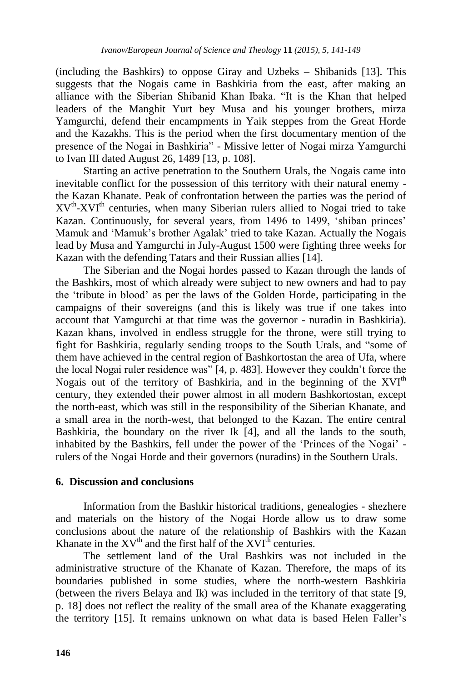(including the Bashkirs) to oppose Giray and Uzbeks – Shibanids [13]. This suggests that the Nogais came in Bashkiria from the east, after making an alliance with the Siberian Shibanid Khan Ibaka. "It is the Khan that helped leaders of the Manghit Yurt bey Musa and his younger brothers, mirza Yamgurchi, defend their encampments in Yaik steppes from the Great Horde and the Kazakhs. This is the period when the first documentary mention of the presence of the Nogai in Bashkiria" - Missive letter of Nogai mirza Yamgurchi to Ivan III dated August 26, 1489 [13, p. 108].

Starting an active penetration to the Southern Urals, the Nogais came into inevitable conflict for the possession of this territory with their natural enemy the Kazan Khanate. Peak of confrontation between the parties was the period of  $XV^{th}$ - $XVI^{th}$  centuries, when many Siberian rulers allied to Nogai tried to take Kazan. Continuously, for several years, from 1496 to 1499, "shiban princes" Mamuk and "Mamuk"s brother Agalak" tried to take Kazan. Actually the Nogais lead by Musa and Yamgurchi in July-August 1500 were fighting three weeks for Kazan with the defending Tatars and their Russian allies [14].

The Siberian and the Nogai hordes passed to Kazan through the lands of the Bashkirs, most of which already were subject to new owners and had to pay the "tribute in blood" as per the laws of the Golden Horde, participating in the campaigns of their sovereigns (and this is likely was true if one takes into account that Yamgurchi at that time was the governor - nuradin in Bashkiria). Kazan khans, involved in endless struggle for the throne, were still trying to fight for Bashkiria, regularly sending troops to the South Urals, and "some of them have achieved in the central region of Bashkortostan the area of Ufa, where the local Nogai ruler residence was" [4, p. 483]. However they couldn"t force the Nogais out of the territory of Bashkiria, and in the beginning of the XVI<sup>th</sup> century, they extended their power almost in all modern Bashkortostan, except the north-east, which was still in the responsibility of the Siberian Khanate, and a small area in the north-west, that belonged to the Kazan. The entire central Bashkiria, the boundary on the river Ik [4], and all the lands to the south, inhabited by the Bashkirs, fell under the power of the "Princes of the Nogai" rulers of the Nogai Horde and their governors (nuradins) in the Southern Urals.

#### **6. Discussion and conclusions**

Information from the Bashkir historical traditions, genealogies - shezhere and materials on the history of the Nogai Horde allow us to draw some conclusions about the nature of the relationship of Bashkirs with the Kazan Khanate in the  $XV^{th}$  and the first half of the  $XVI^{th}$  centuries.

The settlement land of the Ural Bashkirs was not included in the administrative structure of the Khanate of Kazan. Therefore, the maps of its boundaries published in some studies, where the north-western Bashkiria (between the rivers Belaya and Ik) was included in the territory of that state [9, p. 18] does not reflect the reality of the small area of the Khanate exaggerating the territory [15]. It remains unknown on what data is based Helen Faller"s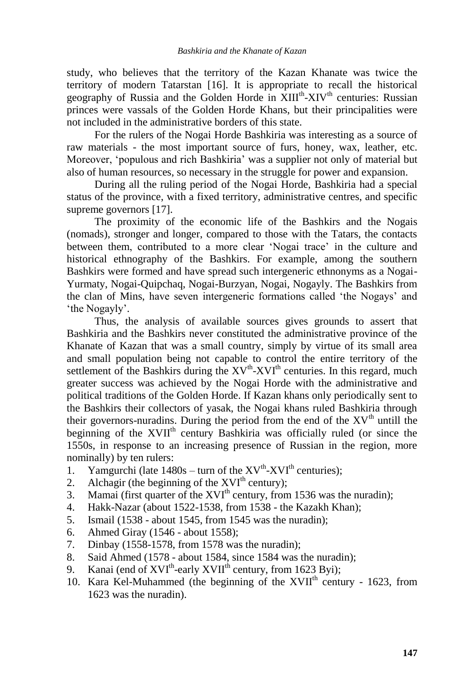study, who believes that the territory of the Kazan Khanate was twice the territory of modern Tatarstan [16]. It is appropriate to recall the historical geography of Russia and the Golden Horde in XIII<sup>th</sup>-XIV<sup>th</sup> centuries: Russian princes were vassals of the Golden Horde Khans, but their principalities were not included in the administrative borders of this state.

For the rulers of the Nogai Horde Bashkiria was interesting as a source of raw materials - the most important source of furs, honey, wax, leather, etc. Moreover, "populous and rich Bashkiria" was a supplier not only of material but also of human resources, so necessary in the struggle for power and expansion.

During all the ruling period of the Nogai Horde, Bashkiria had a special status of the province, with a fixed territory, administrative centres, and specific supreme governors [17].

The proximity of the economic life of the Bashkirs and the Nogais (nomads), stronger and longer, compared to those with the Tatars, the contacts between them, contributed to a more clear "Nogai trace" in the culture and historical ethnography of the Bashkirs. For example, among the southern Bashkirs were formed and have spread such intergeneric ethnonyms as a Nogai-Yurmaty, Nogai-Quipchaq, Nogai-Burzyan, Nogai, Nogayly. The Bashkirs from the clan of Mins, have seven intergeneric formations called "the Nogays" and 'the Nogayly'.

Thus, the analysis of available sources gives grounds to assert that Bashkiria and the Bashkirs never constituted the administrative province of the Khanate of Kazan that was a small country, simply by virtue of its small area and small population being not capable to control the entire territory of the settlement of the Bashkirs during the  $XV^{th}$ - $XVI^{th}$  centuries. In this regard, much greater success was achieved by the Nogai Horde with the administrative and political traditions of the Golden Horde. If Kazan khans only periodically sent to the Bashkirs their collectors of yasak, the Nogai khans ruled Bashkiria through their governors-nuradins. During the period from the end of the  $XV<sup>th</sup>$  untill the beginning of the XVII<sup>th</sup> century Bashkiria was officially ruled (or since the 1550s, in response to an increasing presence of Russian in the region, more nominally) by ten rulers:

- 1. Yamgurchi (late  $1480s turn$  of the  $XV<sup>th</sup>-XVI<sup>th</sup>$  centuries);
- 2. Alchagir (the beginning of the  $XVI<sup>th</sup>$  century);
- 3. Mamai (first quarter of the  $XVI<sup>th</sup>$  century, from 1536 was the nuradin);
- 4. Hakk-Nazar (about 1522-1538, from 1538 the Kazakh Khan);
- 5. Ismail (1538 about 1545, from 1545 was the nuradin);
- 6. Ahmed Giray (1546 about 1558);
- 7. Dinbay (1558-1578, from 1578 was the nuradin);
- 8. Said Ahmed (1578 about 1584, since 1584 was the nuradin);
- 9. Kanai (end of XVI<sup>th</sup>-early XVII<sup>th</sup> century, from 1623 Byi);
- 10. Kara Kel-Muhammed (the beginning of the  $XVII<sup>th</sup>$  century 1623, from 1623 was the nuradin).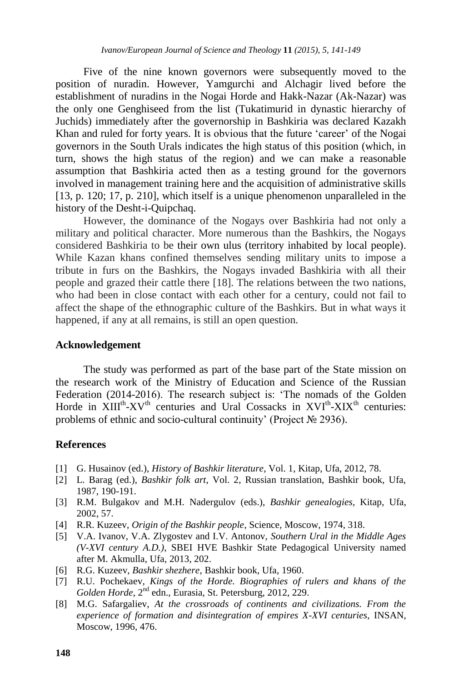Five of the nine known governors were subsequently moved to the position of nuradin. However, Yamgurchi and Alchagir lived before the establishment of nuradins in the Nogai Horde and Hakk-Nazar (Ak-Nazar) was the only one Genghiseed from the list (Tukatimurid in dynastic hierarchy of Juchids) immediately after the governorship in Bashkiria was declared Kazakh Khan and ruled for forty years. It is obvious that the future "career" of the Nogai governors in the South Urals indicates the high status of this position (which, in turn, shows the high status of the region) and we can make a reasonable assumption that Bashkiria acted then as a testing ground for the governors involved in management training here and the acquisition of administrative skills [13, p. 120; 17, p. 210], which itself is a unique phenomenon unparalleled in the history of the Desht-i-Quipchaq.

However, the dominance of the Nogays over Bashkiria had not only a military and political character. More numerous than the Bashkirs, the Nogays considered Bashkiria to be their own ulus (territory inhabited by local people). While Kazan khans confined themselves sending military units to impose a tribute in furs on the Bashkirs, the Nogays invaded Bashkiria with all their people and grazed their cattle there [18]. The relations between the two nations, who had been in close contact with each other for a century, could not fail to affect the shape of the ethnographic culture of the Bashkirs. But in what ways it happened, if any at all remains, is still an open question.

#### **Acknowledgement**

The study was performed as part of the base part of the State mission on the research work of the Ministry of Education and Science of the Russian Federation (2014-2016). The research subject is: "The nomads of the Golden Horde in  $XIII^{th}$ - $XV^{th}$  centuries and Ural Cossacks in  $XVI^{th}$ - $XIX^{th}$  centuries: problems of ethnic and socio-cultural continuity' (Project № 2936).

## **References**

- [1] G. Husainov (ed.), *History of Bashkir literature*, Vol. 1, Kitap, Ufa, 2012, 78.
- [2] L. Barag (ed.), *Bashkir folk art*, Vol. 2, Russian translation, Bashkir book, Ufa, 1987, 190-191.
- [3] R.M. Bulgakov and M.H. Nadergulov (eds.), *Bashkir genealogies*, Kitap, Ufa, 2002, 57.
- [4] R.R. Kuzeev, *Origin of the Bashkir people*, Science, Moscow, 1974, 318.
- [5] V.A. Ivanov, V.A. Zlygostev and I.V. Antonov, *Southern Ural in the Middle Ages (V-XVI century A.D.)*, SBEI HVE Bashkir State Pedagogical University named after M. Akmulla, Ufa, 2013, 202.
- [6] R.G. Kuzeev, *Bashkir shezhere*, Bashkir book, Ufa, 1960.
- [7] R.U. Pochekaev, *Kings of the Horde. Biographies of rulers and khans of the*  Golden Horde, 2<sup>nd</sup> edn., Eurasia, St. Petersburg, 2012, 229.
- [8] M.G. Safargaliev, *At the crossroads of continents and civilizations. From the experience of formation and disintegration of empires X-XVI centuries*, INSAN, Moscow, 1996, 476.